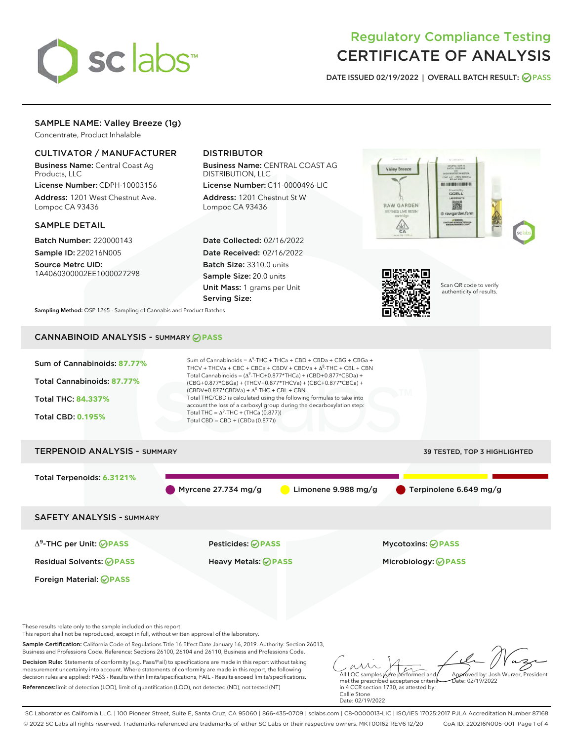

# Regulatory Compliance Testing CERTIFICATE OF ANALYSIS

DATE ISSUED 02/19/2022 | OVERALL BATCH RESULT: @ PASS

# SAMPLE NAME: Valley Breeze (1g)

Concentrate, Product Inhalable

# CULTIVATOR / MANUFACTURER

Business Name: Central Coast Ag Products, LLC

License Number: CDPH-10003156 Address: 1201 West Chestnut Ave. Lompoc CA 93436

#### SAMPLE DETAIL

Batch Number: 220000143 Sample ID: 220216N005

Source Metrc UID: 1A4060300002EE1000027298

# DISTRIBUTOR

Business Name: CENTRAL COAST AG DISTRIBUTION, LLC

License Number: C11-0000496-LIC Address: 1201 Chestnut St W Lompoc CA 93436

Date Collected: 02/16/2022 Date Received: 02/16/2022 Batch Size: 3310.0 units Sample Size: 20.0 units Unit Mass: 1 grams per Unit Serving Size:





Scan QR code to verify authenticity of results.

Sampling Method: QSP 1265 - Sampling of Cannabis and Product Batches

# CANNABINOID ANALYSIS - SUMMARY **PASS**



measurement uncertainty into account. Where statements of conformity are made in this report, the following decision rules are applied: PASS - Results within limits/specifications, FAIL - Results exceed limits/specifications. References:limit of detection (LOD), limit of quantification (LOQ), not detected (ND), not tested (NT)

All LQC samples were performed and met the prescribed acceptance criteria in 4 CCR section 1730, as attested by: Callie Stone Date: 02/19/2022 Approved by: Josh Wurzer, President  $hat: 02/19/2022$ 

SC Laboratories California LLC. | 100 Pioneer Street, Suite E, Santa Cruz, CA 95060 | 866-435-0709 | sclabs.com | C8-0000013-LIC | ISO/IES 17025:2017 PJLA Accreditation Number 87168 © 2022 SC Labs all rights reserved. Trademarks referenced are trademarks of either SC Labs or their respective owners. MKT00162 REV6 12/20 CoA ID: 220216N005-001 Page 1 of 4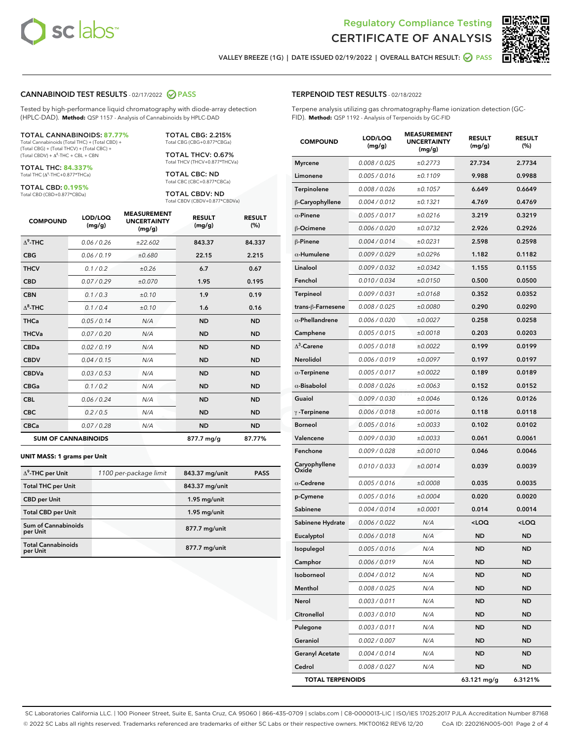



VALLEY BREEZE (1G) | DATE ISSUED 02/19/2022 | OVERALL BATCH RESULT:  $\bigcirc$  PASS

#### CANNABINOID TEST RESULTS - 02/17/2022 2 PASS

Tested by high-performance liquid chromatography with diode-array detection (HPLC-DAD). **Method:** QSP 1157 - Analysis of Cannabinoids by HPLC-DAD

#### TOTAL CANNABINOIDS: **87.77%**

Total Cannabinoids (Total THC) + (Total CBD) + (Total CBG) + (Total THCV) + (Total CBC) +  $(Total CBDV) +  $\Delta^8$ -THC + CBL + CBN$ 

TOTAL THC: **84.337%** Total THC (Δ<sup>9</sup> -THC+0.877\*THCa)

TOTAL CBD: **0.195%**

Total CBD (CBD+0.877\*CBDa)

TOTAL CBG: 2.215% Total CBG (CBG+0.877\*CBGa)

TOTAL THCV: 0.67% Total THCV (THCV+0.877\*THCVa)

TOTAL CBC: ND Total CBC (CBC+0.877\*CBCa)

TOTAL CBDV: ND Total CBDV (CBDV+0.877\*CBDVa)

| <b>COMPOUND</b>            | LOD/LOQ<br>(mg/g) | <b>MEASUREMENT</b><br><b>UNCERTAINTY</b><br>(mg/g) | <b>RESULT</b><br>(mg/g) | <b>RESULT</b><br>(%) |
|----------------------------|-------------------|----------------------------------------------------|-------------------------|----------------------|
| $\Lambda^9$ -THC           | 0.06 / 0.26       | ±22.602                                            | 843.37                  | 84.337               |
| <b>CBG</b>                 | 0.06/0.19         | ±0.680                                             | 22.15                   | 2.215                |
| <b>THCV</b>                | 0.1 / 0.2         | ±0.26                                              | 6.7                     | 0.67                 |
| <b>CBD</b>                 | 0.07/0.29         | ±0.070                                             | 1.95                    | 0.195                |
| <b>CBN</b>                 | 0.1 / 0.3         | ±0.10                                              | 1.9                     | 0.19                 |
| $\Delta^8$ -THC            | 0.1 / 0.4         | ±0.10                                              | 1.6                     | 0.16                 |
| <b>THCa</b>                | 0.05/0.14         | N/A                                                | <b>ND</b>               | <b>ND</b>            |
| <b>THCVa</b>               | 0.07/0.20         | N/A                                                | <b>ND</b>               | <b>ND</b>            |
| <b>CBDa</b>                | 0.02/0.19         | N/A                                                | <b>ND</b>               | <b>ND</b>            |
| <b>CBDV</b>                | 0.04/0.15         | N/A                                                | <b>ND</b>               | <b>ND</b>            |
| <b>CBDVa</b>               | 0.03/0.53         | N/A                                                | <b>ND</b>               | <b>ND</b>            |
| <b>CBGa</b>                | 0.1/0.2           | N/A                                                | <b>ND</b>               | <b>ND</b>            |
| <b>CBL</b>                 | 0.06 / 0.24       | N/A                                                | <b>ND</b>               | <b>ND</b>            |
| <b>CBC</b>                 | 0.2 / 0.5         | N/A                                                | <b>ND</b>               | <b>ND</b>            |
| <b>CBCa</b>                | 0.07 / 0.28       | N/A                                                | <b>ND</b>               | <b>ND</b>            |
| <b>SUM OF CANNABINOIDS</b> |                   |                                                    | 877.7 mg/g              | 87.77%               |

#### **UNIT MASS: 1 grams per Unit**

| $\Delta^9$ -THC per Unit               | 1100 per-package limit | 843.37 mg/unit | <b>PASS</b> |
|----------------------------------------|------------------------|----------------|-------------|
| <b>Total THC per Unit</b>              |                        | 843.37 mg/unit |             |
| <b>CBD per Unit</b>                    |                        | $1.95$ mg/unit |             |
| <b>Total CBD per Unit</b>              |                        | $1.95$ mg/unit |             |
| <b>Sum of Cannabinoids</b><br>per Unit |                        | 877.7 mg/unit  |             |
| <b>Total Cannabinoids</b><br>per Unit  |                        | 877.7 mg/unit  |             |

# TERPENOID TEST RESULTS - 02/18/2022

Terpene analysis utilizing gas chromatography-flame ionization detection (GC-FID). **Method:** QSP 1192 - Analysis of Terpenoids by GC-FID

| <b>COMPOUND</b>         | LOD/LOQ<br>(mg/g) | <b>MEASUREMENT</b><br><b>UNCERTAINTY</b><br>(mg/g) | <b>RESULT</b><br>(mg/g)                         | <b>RESULT</b><br>(%) |
|-------------------------|-------------------|----------------------------------------------------|-------------------------------------------------|----------------------|
| <b>Myrcene</b>          | 0.008 / 0.025     | ±0.2773                                            | 27.734                                          | 2.7734               |
| Limonene                | 0.005 / 0.016     | ±0.1109                                            | 9.988                                           | 0.9988               |
| Terpinolene             | 0.008 / 0.026     | ±0.1057                                            | 6.649                                           | 0.6649               |
| β-Caryophyllene         | 0.004 / 0.012     | ±0.1321                                            | 4.769                                           | 0.4769               |
| $\alpha$ -Pinene        | 0.005 / 0.017     | ±0.0216                                            | 3.219                                           | 0.3219               |
| β-Ocimene               | 0.006 / 0.020     | ±0.0732                                            | 2.926                                           | 0.2926               |
| $\beta$ -Pinene         | 0.004 / 0.014     | ±0.0231                                            | 2.598                                           | 0.2598               |
| $\alpha$ -Humulene      | 0.009/0.029       | ±0.0296                                            | 1.182                                           | 0.1182               |
| Linalool                | 0.009 / 0.032     | ±0.0342                                            | 1.155                                           | 0.1155               |
| Fenchol                 | 0.010 / 0.034     | ±0.0150                                            | 0.500                                           | 0.0500               |
| Terpineol               | 0.009 / 0.031     | ±0.0168                                            | 0.352                                           | 0.0352               |
| trans-ß-Farnesene       | 0.008 / 0.025     | ±0.0080                                            | 0.290                                           | 0.0290               |
| $\alpha$ -Phellandrene  | 0.006 / 0.020     | ±0.0027                                            | 0.258                                           | 0.0258               |
| Camphene                | 0.005 / 0.015     | ±0.0018                                            | 0.203                                           | 0.0203               |
| $\Delta^3$ -Carene      | 0.005 / 0.018     | ±0.0022                                            | 0.199                                           | 0.0199               |
| Nerolidol               | 0.006 / 0.019     | ±0.0097                                            | 0.197                                           | 0.0197               |
| $\alpha$ -Terpinene     | 0.005 / 0.017     | ±0.0022                                            | 0.189                                           | 0.0189               |
| $\alpha$ -Bisabolol     | 0.008 / 0.026     | ±0.0063                                            | 0.152                                           | 0.0152               |
| Guaiol                  | 0.009 / 0.030     | ±0.0046                                            | 0.126                                           | 0.0126               |
| $\gamma$ -Terpinene     | 0.006 / 0.018     | ±0.0016                                            | 0.118                                           | 0.0118               |
| <b>Borneol</b>          | 0.005 / 0.016     | ±0.0033                                            | 0.102                                           | 0.0102               |
| Valencene               | 0.009 / 0.030     | ±0.0033                                            | 0.061                                           | 0.0061               |
| Fenchone                | 0.009 / 0.028     | ±0.0010                                            | 0.046                                           | 0.0046               |
| Caryophyllene<br>Oxide  | 0.010 / 0.033     | ±0.0014                                            | 0.039                                           | 0.0039               |
| $\alpha$ -Cedrene       | 0.005 / 0.016     | ±0.0008                                            | 0.035                                           | 0.0035               |
| p-Cymene                | 0.005 / 0.016     | ±0.0004                                            | 0.020                                           | 0.0020               |
| Sabinene                | 0.004 / 0.014     | ±0.0001                                            | 0.014                                           | 0.0014               |
| Sabinene Hydrate        | 0.006 / 0.022     | N/A                                                | <loq< th=""><th><loq< th=""></loq<></th></loq<> | <loq< th=""></loq<>  |
| Eucalyptol              | 0.006 / 0.018     | N/A                                                | ND                                              | <b>ND</b>            |
| Isopulegol              | 0.005 / 0.016     | N/A                                                | <b>ND</b>                                       | <b>ND</b>            |
| Camphor                 | 0.006 / 0.019     | N/A                                                | ND                                              | ND                   |
| Isoborneol              | 0.004 / 0.012     | N/A                                                | ND                                              | ND                   |
| Menthol                 | 0.008 / 0.025     | N/A                                                | <b>ND</b>                                       | ND                   |
| Nerol                   | 0.003 / 0.011     | N/A                                                | <b>ND</b>                                       | ND                   |
| Citronellol             | 0.003 / 0.010     | N/A                                                | ND                                              | ND                   |
| Pulegone                | 0.003 / 0.011     | N/A                                                | ND                                              | ND                   |
| Geraniol                | 0.002 / 0.007     | N/A                                                | <b>ND</b>                                       | ND                   |
| <b>Geranyl Acetate</b>  | 0.004 / 0.014     | N/A                                                | ND                                              | ND                   |
| Cedrol                  | 0.008 / 0.027     | N/A                                                | <b>ND</b>                                       | ND                   |
| <b>TOTAL TERPENOIDS</b> |                   |                                                    | 63.121 mg/g                                     | 6.3121%              |

SC Laboratories California LLC. | 100 Pioneer Street, Suite E, Santa Cruz, CA 95060 | 866-435-0709 | sclabs.com | C8-0000013-LIC | ISO/IES 17025:2017 PJLA Accreditation Number 87168 © 2022 SC Labs all rights reserved. Trademarks referenced are trademarks of either SC Labs or their respective owners. MKT00162 REV6 12/20 CoA ID: 220216N005-001 Page 2 of 4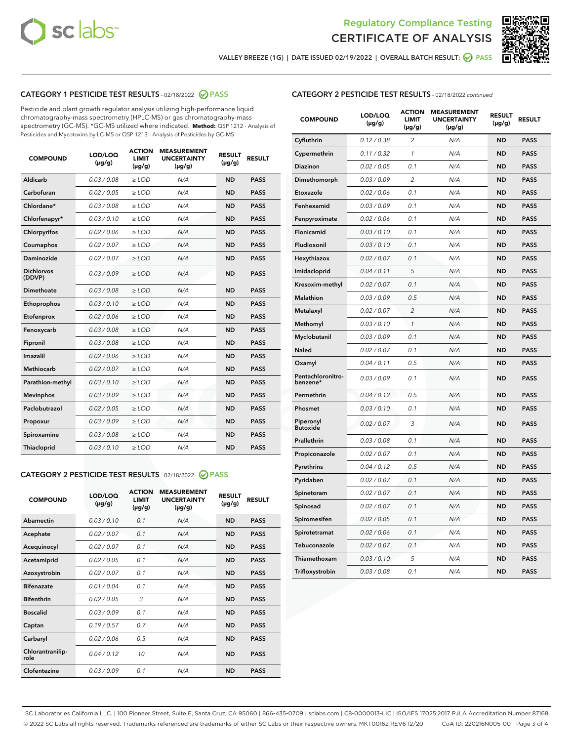



VALLEY BREEZE (1G) | DATE ISSUED 02/19/2022 | OVERALL BATCH RESULT:  $\bigcirc$  PASS

# CATEGORY 1 PESTICIDE TEST RESULTS - 02/18/2022 2 PASS

Pesticide and plant growth regulator analysis utilizing high-performance liquid chromatography-mass spectrometry (HPLC-MS) or gas chromatography-mass spectrometry (GC-MS). \*GC-MS utilized where indicated. **Method:** QSP 1212 - Analysis of Pesticides and Mycotoxins by LC-MS or QSP 1213 - Analysis of Pesticides by GC-MS

| Aldicarb<br>0.03 / 0.08<br>$\ge$ LOD<br>N/A<br><b>ND</b><br><b>PASS</b><br>Carbofuran<br>0.02 / 0.05<br>$>$ LOD<br>N/A<br><b>ND</b><br><b>PASS</b><br>Chlordane*<br>0.03 / 0.08<br>$\ge$ LOD<br>N/A<br><b>ND</b><br><b>PASS</b><br>0.03/0.10<br><b>ND</b><br><b>PASS</b><br>Chlorfenapyr*<br>$>$ LOD<br>N/A<br>0.02/0.06<br>$>$ LOD<br>N/A<br><b>ND</b><br><b>PASS</b><br>Chlorpyrifos<br>0.02 / 0.07<br>$\ge$ LOD<br>N/A<br><b>ND</b><br><b>PASS</b><br>Coumaphos<br>Daminozide<br><b>PASS</b><br>0.02 / 0.07<br>$\ge$ LOD<br>N/A<br><b>ND</b><br><b>Dichlorvos</b><br>0.03/0.09<br>$>$ LOD<br>N/A<br><b>ND</b><br><b>PASS</b><br>(DDVP)<br>0.03/0.08<br>N/A<br><b>ND</b><br>Dimethoate<br>$>$ LOD<br><b>PASS</b><br>Ethoprophos<br>0.03/0.10<br>$\ge$ LOD<br>N/A<br><b>ND</b><br><b>PASS</b><br>N/A<br><b>ND</b><br><b>PASS</b><br>Etofenprox<br>0.02 / 0.06<br>$\ge$ LOD<br>N/A<br>0.03 / 0.08<br><b>ND</b><br><b>PASS</b><br>Fenoxycarb<br>$\ge$ LOD<br>0.03 / 0.08<br>N/A<br><b>ND</b><br><b>PASS</b><br>Fipronil<br>$\ge$ LOD<br>Imazalil<br>0.02/0.06<br>$>$ LOD<br>N/A<br><b>ND</b><br><b>PASS</b><br><b>Methiocarb</b><br>0.02 / 0.07<br>$\ge$ LOD<br>N/A<br><b>ND</b><br><b>PASS</b><br>N/A<br><b>ND</b><br><b>PASS</b><br>Parathion-methyl<br>0.03/0.10<br>$>$ LOD<br><b>Mevinphos</b><br>0.03/0.09<br>$\ge$ LOD<br>N/A<br><b>ND</b><br><b>PASS</b><br>Paclobutrazol<br>N/A<br><b>PASS</b><br>0.02 / 0.05<br>$\ge$ LOD<br><b>ND</b><br>0.03/0.09<br><b>ND</b><br>$\ge$ LOD<br>N/A<br><b>PASS</b><br>Propoxur<br>0.03 / 0.08<br>$\ge$ LOD<br><b>ND</b><br><b>PASS</b><br>Spiroxamine<br>N/A<br>0.03/0.10<br>Thiacloprid<br>$>$ LOD<br>N/A<br><b>ND</b><br><b>PASS</b> | <b>COMPOUND</b> | LOD/LOQ<br>$(\mu g/g)$ | <b>ACTION</b><br>LIMIT<br>$(\mu g/g)$ | <b>MEASUREMENT</b><br><b>UNCERTAINTY</b><br>$(\mu g/g)$ | <b>RESULT</b><br>$(\mu g/g)$ | <b>RESULT</b> |
|---------------------------------------------------------------------------------------------------------------------------------------------------------------------------------------------------------------------------------------------------------------------------------------------------------------------------------------------------------------------------------------------------------------------------------------------------------------------------------------------------------------------------------------------------------------------------------------------------------------------------------------------------------------------------------------------------------------------------------------------------------------------------------------------------------------------------------------------------------------------------------------------------------------------------------------------------------------------------------------------------------------------------------------------------------------------------------------------------------------------------------------------------------------------------------------------------------------------------------------------------------------------------------------------------------------------------------------------------------------------------------------------------------------------------------------------------------------------------------------------------------------------------------------------------------------------------------------------------------------------------------------------------------------------------------|-----------------|------------------------|---------------------------------------|---------------------------------------------------------|------------------------------|---------------|
|                                                                                                                                                                                                                                                                                                                                                                                                                                                                                                                                                                                                                                                                                                                                                                                                                                                                                                                                                                                                                                                                                                                                                                                                                                                                                                                                                                                                                                                                                                                                                                                                                                                                                 |                 |                        |                                       |                                                         |                              |               |
|                                                                                                                                                                                                                                                                                                                                                                                                                                                                                                                                                                                                                                                                                                                                                                                                                                                                                                                                                                                                                                                                                                                                                                                                                                                                                                                                                                                                                                                                                                                                                                                                                                                                                 |                 |                        |                                       |                                                         |                              |               |
|                                                                                                                                                                                                                                                                                                                                                                                                                                                                                                                                                                                                                                                                                                                                                                                                                                                                                                                                                                                                                                                                                                                                                                                                                                                                                                                                                                                                                                                                                                                                                                                                                                                                                 |                 |                        |                                       |                                                         |                              |               |
|                                                                                                                                                                                                                                                                                                                                                                                                                                                                                                                                                                                                                                                                                                                                                                                                                                                                                                                                                                                                                                                                                                                                                                                                                                                                                                                                                                                                                                                                                                                                                                                                                                                                                 |                 |                        |                                       |                                                         |                              |               |
|                                                                                                                                                                                                                                                                                                                                                                                                                                                                                                                                                                                                                                                                                                                                                                                                                                                                                                                                                                                                                                                                                                                                                                                                                                                                                                                                                                                                                                                                                                                                                                                                                                                                                 |                 |                        |                                       |                                                         |                              |               |
|                                                                                                                                                                                                                                                                                                                                                                                                                                                                                                                                                                                                                                                                                                                                                                                                                                                                                                                                                                                                                                                                                                                                                                                                                                                                                                                                                                                                                                                                                                                                                                                                                                                                                 |                 |                        |                                       |                                                         |                              |               |
|                                                                                                                                                                                                                                                                                                                                                                                                                                                                                                                                                                                                                                                                                                                                                                                                                                                                                                                                                                                                                                                                                                                                                                                                                                                                                                                                                                                                                                                                                                                                                                                                                                                                                 |                 |                        |                                       |                                                         |                              |               |
|                                                                                                                                                                                                                                                                                                                                                                                                                                                                                                                                                                                                                                                                                                                                                                                                                                                                                                                                                                                                                                                                                                                                                                                                                                                                                                                                                                                                                                                                                                                                                                                                                                                                                 |                 |                        |                                       |                                                         |                              |               |
|                                                                                                                                                                                                                                                                                                                                                                                                                                                                                                                                                                                                                                                                                                                                                                                                                                                                                                                                                                                                                                                                                                                                                                                                                                                                                                                                                                                                                                                                                                                                                                                                                                                                                 |                 |                        |                                       |                                                         |                              |               |
|                                                                                                                                                                                                                                                                                                                                                                                                                                                                                                                                                                                                                                                                                                                                                                                                                                                                                                                                                                                                                                                                                                                                                                                                                                                                                                                                                                                                                                                                                                                                                                                                                                                                                 |                 |                        |                                       |                                                         |                              |               |
|                                                                                                                                                                                                                                                                                                                                                                                                                                                                                                                                                                                                                                                                                                                                                                                                                                                                                                                                                                                                                                                                                                                                                                                                                                                                                                                                                                                                                                                                                                                                                                                                                                                                                 |                 |                        |                                       |                                                         |                              |               |
|                                                                                                                                                                                                                                                                                                                                                                                                                                                                                                                                                                                                                                                                                                                                                                                                                                                                                                                                                                                                                                                                                                                                                                                                                                                                                                                                                                                                                                                                                                                                                                                                                                                                                 |                 |                        |                                       |                                                         |                              |               |
|                                                                                                                                                                                                                                                                                                                                                                                                                                                                                                                                                                                                                                                                                                                                                                                                                                                                                                                                                                                                                                                                                                                                                                                                                                                                                                                                                                                                                                                                                                                                                                                                                                                                                 |                 |                        |                                       |                                                         |                              |               |
|                                                                                                                                                                                                                                                                                                                                                                                                                                                                                                                                                                                                                                                                                                                                                                                                                                                                                                                                                                                                                                                                                                                                                                                                                                                                                                                                                                                                                                                                                                                                                                                                                                                                                 |                 |                        |                                       |                                                         |                              |               |
|                                                                                                                                                                                                                                                                                                                                                                                                                                                                                                                                                                                                                                                                                                                                                                                                                                                                                                                                                                                                                                                                                                                                                                                                                                                                                                                                                                                                                                                                                                                                                                                                                                                                                 |                 |                        |                                       |                                                         |                              |               |
|                                                                                                                                                                                                                                                                                                                                                                                                                                                                                                                                                                                                                                                                                                                                                                                                                                                                                                                                                                                                                                                                                                                                                                                                                                                                                                                                                                                                                                                                                                                                                                                                                                                                                 |                 |                        |                                       |                                                         |                              |               |
|                                                                                                                                                                                                                                                                                                                                                                                                                                                                                                                                                                                                                                                                                                                                                                                                                                                                                                                                                                                                                                                                                                                                                                                                                                                                                                                                                                                                                                                                                                                                                                                                                                                                                 |                 |                        |                                       |                                                         |                              |               |
|                                                                                                                                                                                                                                                                                                                                                                                                                                                                                                                                                                                                                                                                                                                                                                                                                                                                                                                                                                                                                                                                                                                                                                                                                                                                                                                                                                                                                                                                                                                                                                                                                                                                                 |                 |                        |                                       |                                                         |                              |               |
|                                                                                                                                                                                                                                                                                                                                                                                                                                                                                                                                                                                                                                                                                                                                                                                                                                                                                                                                                                                                                                                                                                                                                                                                                                                                                                                                                                                                                                                                                                                                                                                                                                                                                 |                 |                        |                                       |                                                         |                              |               |
|                                                                                                                                                                                                                                                                                                                                                                                                                                                                                                                                                                                                                                                                                                                                                                                                                                                                                                                                                                                                                                                                                                                                                                                                                                                                                                                                                                                                                                                                                                                                                                                                                                                                                 |                 |                        |                                       |                                                         |                              |               |
|                                                                                                                                                                                                                                                                                                                                                                                                                                                                                                                                                                                                                                                                                                                                                                                                                                                                                                                                                                                                                                                                                                                                                                                                                                                                                                                                                                                                                                                                                                                                                                                                                                                                                 |                 |                        |                                       |                                                         |                              |               |

# CATEGORY 2 PESTICIDE TEST RESULTS - 02/18/2022 2 PASS

| <b>COMPOUND</b>          | LOD/LOQ<br>$(\mu g/g)$ | <b>ACTION</b><br>LIMIT<br>$(\mu g/g)$ | <b>MEASUREMENT</b><br><b>UNCERTAINTY</b><br>$(\mu g/g)$ | <b>RESULT</b><br>$(\mu g/g)$ | <b>RESULT</b> |
|--------------------------|------------------------|---------------------------------------|---------------------------------------------------------|------------------------------|---------------|
| Abamectin                | 0.03/0.10              | 0.1                                   | N/A                                                     | <b>ND</b>                    | <b>PASS</b>   |
| Acephate                 | 0.02/0.07              | 0.1                                   | N/A                                                     | <b>ND</b>                    | <b>PASS</b>   |
| Acequinocyl              | 0.02/0.07              | 0.1                                   | N/A                                                     | <b>ND</b>                    | <b>PASS</b>   |
| Acetamiprid              | 0.02/0.05              | 0.1                                   | N/A                                                     | <b>ND</b>                    | <b>PASS</b>   |
| Azoxystrobin             | 0.02/0.07              | 0.1                                   | N/A                                                     | <b>ND</b>                    | <b>PASS</b>   |
| <b>Bifenazate</b>        | 0.01/0.04              | 0.1                                   | N/A                                                     | <b>ND</b>                    | <b>PASS</b>   |
| <b>Bifenthrin</b>        | 0.02 / 0.05            | 3                                     | N/A                                                     | <b>ND</b>                    | <b>PASS</b>   |
| <b>Boscalid</b>          | 0.03/0.09              | 0.1                                   | N/A                                                     | <b>ND</b>                    | <b>PASS</b>   |
| Captan                   | 0.19/0.57              | 0.7                                   | N/A                                                     | <b>ND</b>                    | <b>PASS</b>   |
| Carbaryl                 | 0.02/0.06              | 0.5                                   | N/A                                                     | <b>ND</b>                    | <b>PASS</b>   |
| Chlorantranilip-<br>role | 0.04 / 0.12            | 10                                    | N/A                                                     | <b>ND</b>                    | <b>PASS</b>   |
| Clofentezine             | 0.03/0.09              | 0.1                                   | N/A                                                     | <b>ND</b>                    | <b>PASS</b>   |

# CATEGORY 2 PESTICIDE TEST RESULTS - 02/18/2022 continued

| <b>COMPOUND</b>               | LOD/LOQ<br>(µg/g) | <b>ACTION</b><br><b>LIMIT</b><br>(µg/g) | <b>MEASUREMENT</b><br><b>UNCERTAINTY</b><br>$(\mu g/g)$ | <b>RESULT</b><br>(µg/g) | <b>RESULT</b> |
|-------------------------------|-------------------|-----------------------------------------|---------------------------------------------------------|-------------------------|---------------|
| Cyfluthrin                    | 0.12 / 0.38       | 2                                       | N/A                                                     | <b>ND</b>               | <b>PASS</b>   |
| Cypermethrin                  | 0.11 / 0.32       | $\mathbf{1}$                            | N/A                                                     | <b>ND</b>               | <b>PASS</b>   |
| Diazinon                      | 0.02 / 0.05       | 0.1                                     | N/A                                                     | <b>ND</b>               | <b>PASS</b>   |
| Dimethomorph                  | 0.03 / 0.09       | 2                                       | N/A                                                     | ND                      | <b>PASS</b>   |
| Etoxazole                     | 0.02 / 0.06       | 0.1                                     | N/A                                                     | ND                      | <b>PASS</b>   |
| Fenhexamid                    | 0.03 / 0.09       | 0.1                                     | N/A                                                     | <b>ND</b>               | <b>PASS</b>   |
| Fenpyroximate                 | 0.02 / 0.06       | 0.1                                     | N/A                                                     | <b>ND</b>               | <b>PASS</b>   |
| Flonicamid                    | 0.03 / 0.10       | 0.1                                     | N/A                                                     | <b>ND</b>               | <b>PASS</b>   |
| Fludioxonil                   | 0.03 / 0.10       | 0.1                                     | N/A                                                     | <b>ND</b>               | <b>PASS</b>   |
| Hexythiazox                   | 0.02 / 0.07       | 0.1                                     | N/A                                                     | <b>ND</b>               | <b>PASS</b>   |
| Imidacloprid                  | 0.04 / 0.11       | 5                                       | N/A                                                     | ND                      | <b>PASS</b>   |
| Kresoxim-methyl               | 0.02 / 0.07       | 0.1                                     | N/A                                                     | ND                      | <b>PASS</b>   |
| <b>Malathion</b>              | 0.03 / 0.09       | 0.5                                     | N/A                                                     | <b>ND</b>               | <b>PASS</b>   |
| Metalaxyl                     | 0.02 / 0.07       | 2                                       | N/A                                                     | <b>ND</b>               | <b>PASS</b>   |
| Methomyl                      | 0.03 / 0.10       | $\mathbf{1}$                            | N/A                                                     | <b>ND</b>               | <b>PASS</b>   |
| Myclobutanil                  | 0.03 / 0.09       | 0.1                                     | N/A                                                     | <b>ND</b>               | <b>PASS</b>   |
| Naled                         | 0.02 / 0.07       | 0.1                                     | N/A                                                     | <b>ND</b>               | <b>PASS</b>   |
| Oxamyl                        | 0.04 / 0.11       | 0.5                                     | N/A                                                     | ND                      | <b>PASS</b>   |
| Pentachloronitro-<br>benzene* | 0.03 / 0.09       | 0.1                                     | N/A                                                     | <b>ND</b>               | <b>PASS</b>   |
| Permethrin                    | 0.04/0.12         | 0.5                                     | N/A                                                     | <b>ND</b>               | <b>PASS</b>   |
| Phosmet                       | 0.03 / 0.10       | 0.1                                     | N/A                                                     | ND                      | <b>PASS</b>   |
| Piperonyl<br><b>Butoxide</b>  | 0.02 / 0.07       | 3                                       | N/A                                                     | <b>ND</b>               | <b>PASS</b>   |
| Prallethrin                   | 0.03 / 0.08       | 0.1                                     | N/A                                                     | <b>ND</b>               | <b>PASS</b>   |
| Propiconazole                 | 0.02 / 0.07       | 0.1                                     | N/A                                                     | <b>ND</b>               | <b>PASS</b>   |
| Pyrethrins                    | 0.04 / 0.12       | 0.5                                     | N/A                                                     | <b>ND</b>               | <b>PASS</b>   |
| Pyridaben                     | 0.02 / 0.07       | 0.1                                     | N/A                                                     | <b>ND</b>               | PASS          |
| Spinetoram                    | 0.02 / 0.07       | 0.1                                     | N/A                                                     | ND                      | <b>PASS</b>   |
| Spinosad                      | 0.02 / 0.07       | 0.1                                     | N/A                                                     | ND                      | <b>PASS</b>   |
| Spiromesifen                  | 0.02 / 0.05       | 0.1                                     | N/A                                                     | ND                      | <b>PASS</b>   |
| Spirotetramat                 | 0.02 / 0.06       | 0.1                                     | N/A                                                     | ND                      | PASS          |
| Tebuconazole                  | 0.02 / 0.07       | 0.1                                     | N/A                                                     | <b>ND</b>               | <b>PASS</b>   |
| Thiamethoxam                  | 0.03 / 0.10       | 5                                       | N/A                                                     | ND                      | <b>PASS</b>   |
| Trifloxystrobin               | 0.03 / 0.08       | 0.1                                     | N/A                                                     | ND                      | <b>PASS</b>   |

SC Laboratories California LLC. | 100 Pioneer Street, Suite E, Santa Cruz, CA 95060 | 866-435-0709 | sclabs.com | C8-0000013-LIC | ISO/IES 17025:2017 PJLA Accreditation Number 87168 © 2022 SC Labs all rights reserved. Trademarks referenced are trademarks of either SC Labs or their respective owners. MKT00162 REV6 12/20 CoA ID: 220216N005-001 Page 3 of 4